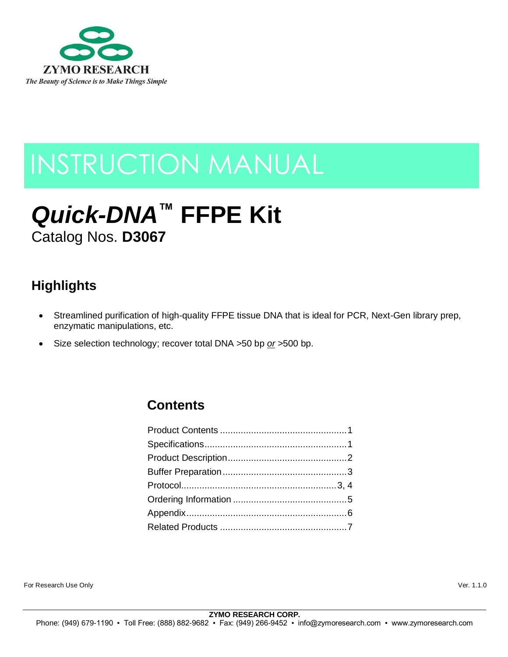

# INSTRUCTION MANUAL

# *Quick-DNA***™ FFPE Kit** Catalog Nos. **D3067**

## **Highlights**

- Streamlined purification of high-quality FFPE tissue DNA that is ideal for PCR, Next-Gen library prep, enzymatic manipulations, etc.
- Size selection technology; recover total DNA >50 bp *or* >500 bp.

### **Contents**

For Research Use Only Ver. 1.1.0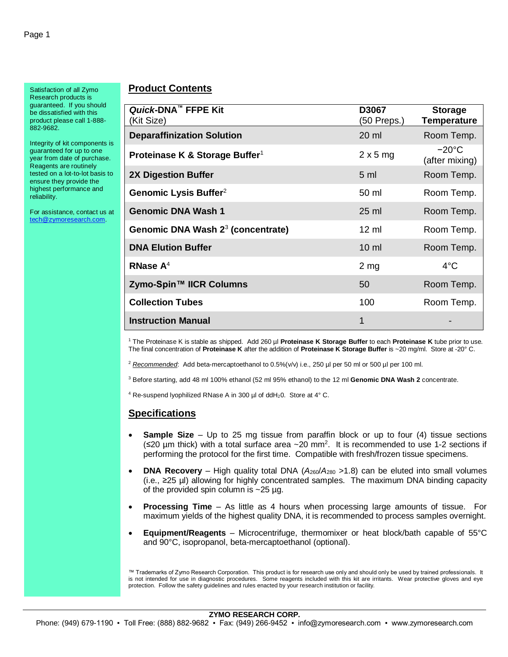Satisfaction of all Zymo Research products is guaranteed. If you should be dissatisfied with this product please call 1-888- 882-9682.

Integrity of kit components is guaranteed for up to one year from date of purchase. Reagents are routinely tested on a lot-to-lot basis to ensure they provide the highest performance and reliability.

For assistance, contact us at [tech@zymoresearch.com.](mailto:tech@zymoresearch.com)

#### **Product Contents**

| Quick-DNA <sup>™</sup> FFPE Kit<br>(Kit Size) | D3067<br>(50 Preps.) | <b>Storage</b><br><b>Temperature</b> |
|-----------------------------------------------|----------------------|--------------------------------------|
| <b>Deparaffinization Solution</b>             | 20 ml                | Room Temp.                           |
| Proteinase K & Storage Buffer <sup>1</sup>    | $2 \times 5$ mg      | $-20^{\circ}$ C<br>(after mixing)    |
| <b>2X Digestion Buffer</b>                    | 5 <sub>m</sub>       | Room Temp.                           |
| Genomic Lysis Buffer <sup>2</sup>             | 50 ml                | Room Temp.                           |
| <b>Genomic DNA Wash 1</b>                     | $25$ ml              | Room Temp.                           |
| Genomic DNA Wash 2 <sup>3</sup> (concentrate) | $12 \text{ ml}$      | Room Temp.                           |
| <b>DNA Elution Buffer</b>                     | $10 \mathrm{m}$      | Room Temp.                           |
| RNase $A^4$                                   | 2 <sub>mg</sub>      | $4^{\circ}$ C                        |
| Zymo-Spin™ IICR Columns                       | 50                   | Room Temp.                           |
| <b>Collection Tubes</b>                       | 100                  | Room Temp.                           |
| <b>Instruction Manual</b>                     | 1                    |                                      |

<sup>1</sup> The Proteinase K is stable as shipped. Add 260 µl **Proteinase K Storage Buffer** to each **Proteinase K** tube prior to use. The final concentration of **Proteinase K** after the addition of **Proteinase K Storage Buffer** is ~20 mg/ml. Store at -20° C.

<sup>2</sup> *Recommended*: Add beta-mercaptoethanol to 0.5%(v/v) i.e., 250 µl per 50 ml or 500 µl per 100 ml.

<sup>3</sup> Before starting, add 48 ml 100% ethanol (52 ml 95% ethanol) to the 12 ml **Genomic DNA Wash 2** concentrate.

 $4$  Re-suspend lyophilized RNase A in 300 µl of ddH<sub>2</sub>0. Store at  $4^{\circ}$  C.

#### **Specifications**

- **Sample Size** Up to 25 mg tissue from paraffin block or up to four (4) tissue sections  $(\leq 20 \text{ µm}$  thick) with a total surface area  $\sim 20 \text{ mm}^2$ . It is recommended to use 1-2 sections if performing the protocol for the first time. Compatible with fresh/frozen tissue specimens.
- **DNA Recovery** High quality total DNA ( $A_{260}/A_{280}$  >1.8) can be eluted into small volumes (i.e., ≥25 µl) allowing for highly concentrated samples. The maximum DNA binding capacity of the provided spin column is  $\sim$  25 µg.
- **Processing Time** As little as 4 hours when processing large amounts of tissue. For maximum yields of the highest quality DNA, it is recommended to process samples overnight.
- **Equipment/Reagents** Microcentrifuge, thermomixer or heat block/bath capable of 55°C and 90°C, isopropanol, beta-mercaptoethanol (optional).

™ Trademarks of Zymo Research Corporation. This product is for research use only and should only be used by trained professionals. It is not intended for use in diagnostic procedures. Some reagents included with this kit are irritants. Wear protective gloves and eye protection. Follow the safety guidelines and rules enacted by your research institution or facility.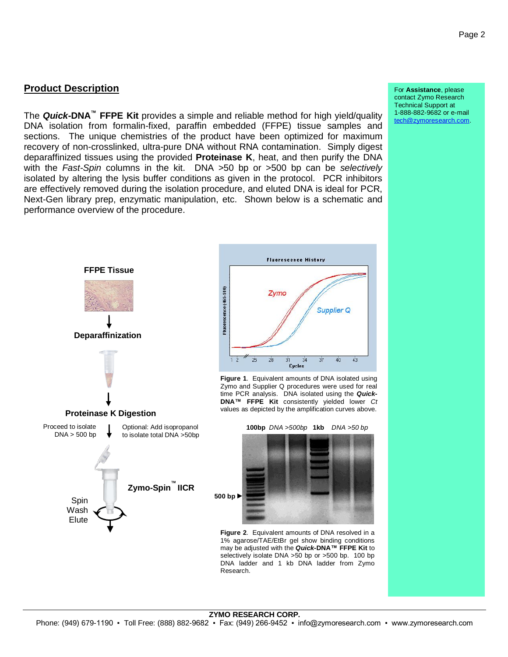#### **Product Description**

The *Quick***-DNA™ FFPE Kit** provides a simple and reliable method for high yield/quality DNA isolation from formalin-fixed, paraffin embedded (FFPE) tissue samples and sections. The unique chemistries of the product have been optimized for maximum recovery of non-crosslinked, ultra-pure DNA without RNA contamination. Simply digest deparaffinized tissues using the provided **Proteinase K**, heat, and then purify the DNA with the *Fast-Spin* columns in the kit. DNA >50 bp or >500 bp can be *selectively* isolated by altering the lysis buffer conditions as given in the protocol. PCR inhibitors are effectively removed during the isolation procedure, and eluted DNA is ideal for PCR, Next-Gen library prep, enzymatic manipulation, etc. Shown below is a schematic and performance overview of the procedure.





**Figure 1**. Equivalent amounts of DNA isolated using Zymo and Supplier Q procedures were used for real time PCR analysis. DNA isolated using the *Quick***-DNA™ FFPE Kit** consistently yielded lower *Ct*  values as depicted by the amplification curves above.



**Figure 2**. Equivalent amounts of DNA resolved in a 1% agarose/TAE/EtBr gel show binding conditions may be adjusted with the *Quick***-DNA™ FFPE Kit** to selectively isolate DNA >50 bp or >500 bp. 100 bp DNA ladder and 1 kb DNA ladder from Zymo Research.

For **Assistance**, please contact Zymo Research Technical Support at 1-888-882-9682 or e-mail [tech@zymoresearch.com.](mailto:tech@zymoresearch.com)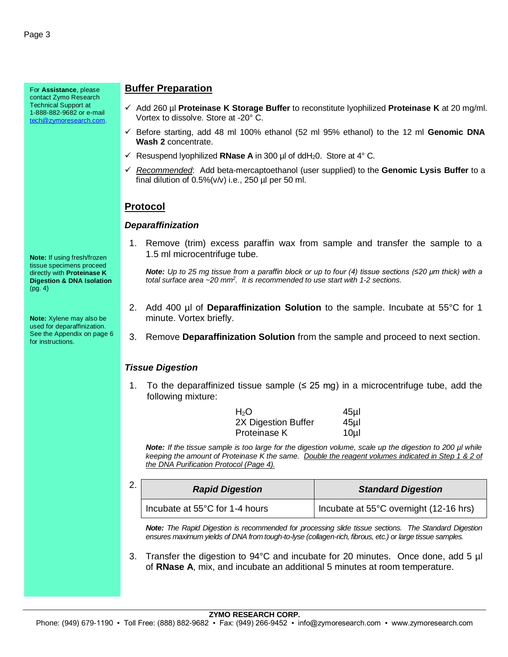For **Assistance**, please contact Zymo Research Technical Support at 1-888-882-9682 or e-mail [tech@zymoresearch.com.](mailto:tech@zymoresearch.com)

**Note:** If using fresh/frozen tissue specimens proceed directly with **Proteinase K Digestion & DNA Isolation** (pg. 4)

**Note:** Xylene may also be used for deparaffinization. See the Appendix on page 6 for instructions.

#### **Buffer Preparation**

- ✓ Add 260 µl **Proteinase K Storage Buffer** to reconstitute lyophilized **Proteinase K** at 20 mg/ml. Vortex to dissolve. Store at -20° C.
- ✓ Before starting, add 48 ml 100% ethanol (52 ml 95% ethanol) to the 12 ml **Genomic DNA Wash 2** concentrate.
- $\checkmark$  Resuspend Ivophilized **RNase A** in 300 µl of ddH<sub>2</sub>0. Store at 4° C.
- ✓ *Recommended*: Add beta-mercaptoethanol (user supplied) to the **Genomic Lysis Buffer** to a final dilution of  $0.5\%$  (v/v) i.e., 250 µl per 50 ml.

#### **Protocol**

#### *Deparaffinization*

1. Remove (trim) excess paraffin wax from sample and transfer the sample to a 1.5 ml microcentrifuge tube.

*Note: Up to 25 mg tissue from a paraffin block or up to four (4) tissue sections (≤20 µm thick) with a total surface area ~20 mm<sup>2</sup> . It is recommended to use start with 1-2 sections.*

- 2. Add 400 µl of **Deparaffinization Solution** to the sample. Incubate at 55°C for 1 minute. Vortex briefly.
- 3. Remove **Deparaffinization Solution** from the sample and proceed to next section.

#### *Tissue Digestion*

1. To the deparaffinized tissue sample  $(≤ 25$  mg) in a microcentrifuge tube, add the following mixture:

| $H_2O$              | 45µl            |
|---------------------|-----------------|
| 2X Digestion Buffer | 45 <sub>µ</sub> |
| Proteinase K        | 10 <sub>µ</sub> |

*Note: If the tissue sample is too large for the digestion volume, scale up the digestion to 200 µl while keeping the amount of Proteinase K the same. Double the reagent volumes indicated in Step 1 & 2 of the DNA Purification Protocol (Page 4).*

| ົ<br>۷. | <b>Rapid Digestion</b>         | <b>Standard Digestion</b>              |  |
|---------|--------------------------------|----------------------------------------|--|
|         | Incubate at 55°C for 1-4 hours | Incubate at 55°C overnight (12-16 hrs) |  |

*Note: The Rapid Digestion is recommended for processing slide tissue sections. The Standard Digestion ensures maximum yields of DNA from tough-to-lyse (collagen-rich, fibrous, etc.) or large tissue samples.*

3. Transfer the digestion to 94°C and incubate for 20 minutes. Once done, add 5 µl of **RNase A**, mix, and incubate an additional 5 minutes at room temperature.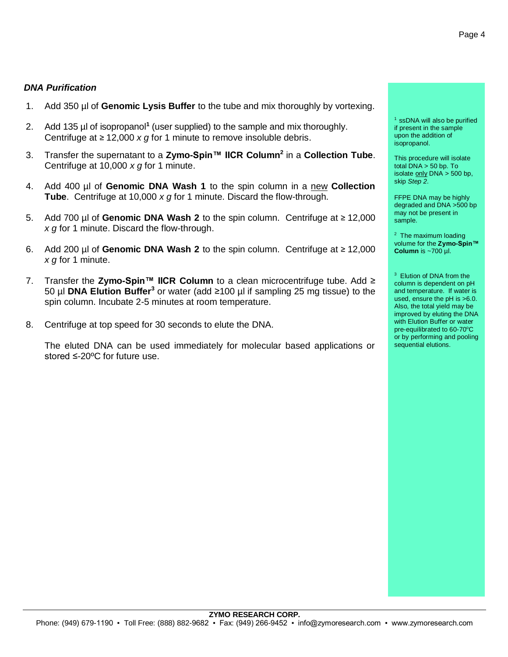#### *DNA Purification*

- 1. Add 350 µl of **Genomic Lysis Buffer** to the tube and mix thoroughly by vortexing.
- 2. Add 135 µl of isopropanol**<sup>1</sup>** (user supplied) to the sample and mix thoroughly. Centrifuge at ≥ 12,000 *x g* for 1 minute to remove insoluble debris.
- 3. Transfer the supernatant to a **Zymo-Spin™ IICR Column<sup>2</sup>** in a **Collection Tube**. Centrifuge at 10,000 *x g* for 1 minute.
- 4. Add 400 µl of **Genomic DNA Wash 1** to the spin column in a new **Collection Tube**. Centrifuge at 10,000 *x g* for 1 minute. Discard the flow-through.
- 5. Add 700 µl of **Genomic DNA Wash 2** to the spin column. Centrifuge at ≥ 12,000 *x g* for 1 minute. Discard the flow-through.
- 6. Add 200 µl of **Genomic DNA Wash 2** to the spin column. Centrifuge at ≥ 12,000 *x g* for 1 minute.
- 7. Transfer the **Zymo-Spin™ IICR Column** to a clean microcentrifuge tube. Add ≥ 50 µl **DNA Elution Buffer<sup>3</sup>** or water (add ≥100 µl if sampling 25 mg tissue) to the spin column. Incubate 2-5 minutes at room temperature.
- 8. Centrifuge at top speed for 30 seconds to elute the DNA.

The eluted DNA can be used immediately for molecular based applications or stored ≤-20ºC for future use.

<sup>1</sup> ssDNA will also be purified if present in the sample upon the addition of isopropanol.

This procedure will isolate total DNA > 50 bp. To isolate  $only DNA > 500 bp$ ,</u> skip *Step 2*.

FFPE DNA may be highly degraded and DNA >500 bp may not be present in sample.

 $2$  The maximum loading volume for the **Zymo-Spin™ Column** is ~700 µl.

<sup>3</sup> Elution of DNA from the column is dependent on pH and temperature. If water is used, ensure the pH is >6.0. Also, the total yield may be improved by eluting the DNA with Elution Buffer or water pre-equilibrated to 60-70°C or by performing and pooling sequential elutions.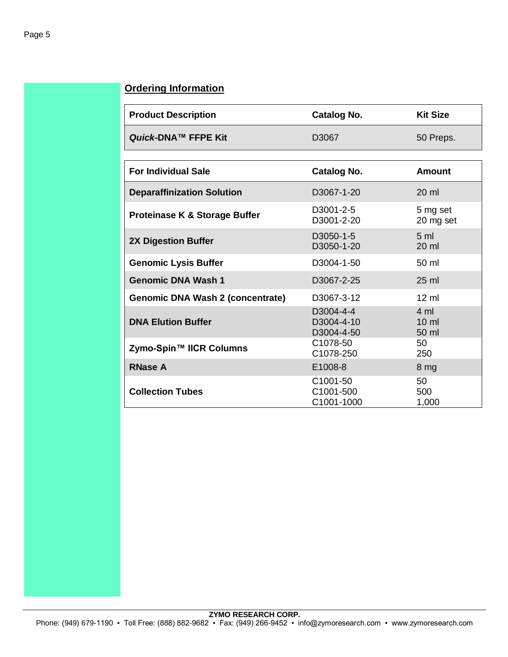#### **Ordering Information**

| <b>Product Description</b>               | <b>Catalog No.</b>                               | <b>Kit Size</b>                            |
|------------------------------------------|--------------------------------------------------|--------------------------------------------|
| Quick-DNA™ FFPE Kit                      | D3067                                            | 50 Preps.                                  |
|                                          |                                                  |                                            |
| <b>For Individual Sale</b>               | <b>Catalog No.</b>                               | Amount                                     |
| <b>Deparaffinization Solution</b>        | D3067-1-20                                       | $20 \text{ ml}$                            |
| <b>Proteinase K &amp; Storage Buffer</b> | D <sub>3001</sub> -2-5<br>D3001-2-20             | 5 mg set<br>20 mg set                      |
| <b>2X Digestion Buffer</b>               | D3050-1-5<br>D3050-1-20                          | 5 <sub>m</sub><br>20 ml                    |
| <b>Genomic Lysis Buffer</b>              | D3004-1-50                                       | 50 ml                                      |
| <b>Genomic DNA Wash 1</b>                | D3067-2-25                                       | $25 \text{ ml}$                            |
| Genomic DNA Wash 2 (concentrate)         | D3067-3-12                                       | $12 \text{ ml}$                            |
| <b>DNA Elution Buffer</b>                | D3004-4-4<br>D3004-4-10<br>D3004-4-50            | $4 \text{ ml}$<br>$10 \mathrm{m}$<br>50 ml |
| Zymo-Spin™ IICR Columns                  | C1078-50<br>C1078-250                            | 50<br>250                                  |
| <b>RNase A</b>                           | E1008-8                                          | 8 <sub>mg</sub>                            |
| <b>Collection Tubes</b>                  | C <sub>1001</sub> -50<br>C1001-500<br>C1001-1000 | 50<br>500<br>1,000                         |